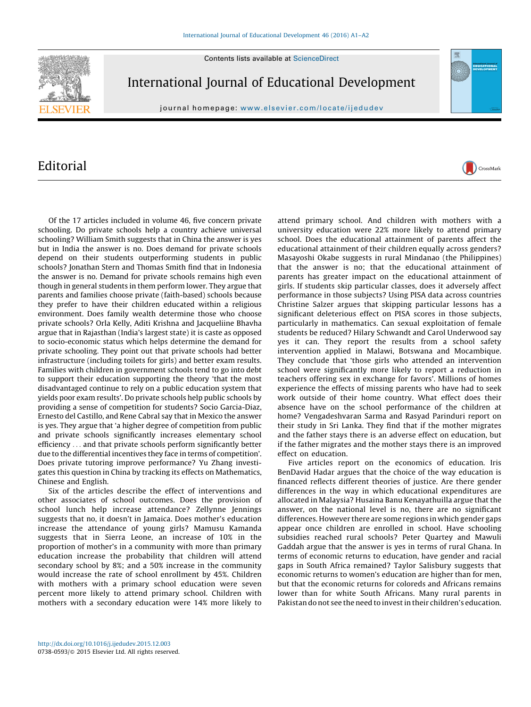Contents lists available at [ScienceDirect](http://www.sciencedirect.com/science/journal/07380593)



International Journal of Educational Development

journal homepage: www.elsevier.com/locate/ijedudev

## Editorial

Of the 17 articles included in volume 46, five concern private schooling. Do private schools help a country achieve universal schooling? William Smith suggests that in China the answer is yes but in India the answer is no. Does demand for private schools depend on their students outperforming students in public schools? Jonathan Stern and Thomas Smith find that in Indonesia the answer is no. Demand for private schools remains high even though in general students in them perform lower. They argue that parents and families choose private (faith-based) schools because they prefer to have their children educated within a religious environment. Does family wealth determine those who choose private schools? Orla Kelly, Aditi Krishna and Jacqueliine Bhavha argue that in Rajasthan (India's largest state) it is caste as opposed to socio-economic status which helps determine the demand for private schooling. They point out that private schools had better infrastructure (including toilets for girls) and better exam results. Families with children in government schools tend to go into debt to support their education supporting the theory 'that the most disadvantaged continue to rely on a public education system that yields poor exam results'. Do private schools help public schools by providing a sense of competition for students? Socio Garcia-Diaz, Ernesto del Castillo, and Rene Cabral say that in Mexico the answer is yes. They argue that 'a higher degree of competition from public and private schools significantly increases elementary school efficiency . . . and that private schools perform significantly better due to the differential incentives they face in terms of competition'. Does private tutoring improve performance? Yu Zhang investigates this question in China by tracking its effects on Mathematics, Chinese and English.

Six of the articles describe the effect of interventions and other associates of school outcomes. Does the provision of school lunch help increase attendance? Zellynne Jennings suggests that no, it doesn't in Jamaica. Does mother's education increase the attendance of young girls? Mamusu Kamanda suggests that in Sierra Leone, an increase of 10% in the proportion of mother's in a community with more than primary education increase the probability that children will attend secondary school by 8%; and a 50% increase in the community would increase the rate of school enrollment by 45%. Children with mothers with a primary school education were seven percent more likely to attend primary school. Children with mothers with a secondary education were 14% more likely to

attend primary school. And children with mothers with a university education were 22% more likely to attend primary school. Does the educational attainment of parents affect the educational attainment of their children equally across genders? Masayoshi Okabe suggests in rural Mindanao (the Philippines) that the answer is no; that the educational attainment of parents has greater impact on the educational attainment of girls. If students skip particular classes, does it adversely affect performance in those subjects? Using PISA data across countries Christine Salzer argues that skipping particular lessons has a significant deleterious effect on PISA scores in those subjects, particularly in mathematics. Can sexual exploitation of female students be reduced? Hilary Schwandt and Carol Underwood say yes it can. They report the results from a school safety intervention applied in Malawi, Botswana and Mocambique. They conclude that 'those girls who attended an intervention school were significantly more likely to report a reduction in teachers offering sex in exchange for favors'. Millions of homes experience the effects of missing parents who have had to seek work outside of their home country. What effect does their absence have on the school performance of the children at home? Vengadeshvaran Sarma and Rasyad Parinduri report on their study in Sri Lanka. They find that if the mother migrates and the father stays there is an adverse effect on education, but if the father migrates and the mother stays there is an improved effect on education.

CrossMark

Five articles report on the economics of education. Iris BenDavid Hadar argues that the choice of the way education is financed reflects different theories of justice. Are there gender differences in the way in which educational expenditures are allocated in Malaysia? Husaina Banu Kenayathuilla argue that the answer, on the national level is no, there are no significant differences. However there are some regions in which gender gaps appear once children are enrolled in school. Have schooling subsidies reached rural schools? Peter Quartey and Mawuli Gaddah argue that the answer is yes in terms of rural Ghana. In terms of economic returns to education, have gender and racial gaps in South Africa remained? Taylor Salisbury suggests that economic returns to women's education are higher than for men, but that the economic returns for coloreds and Africans remains lower than for white South Africans. Many rural parents in Pakistan do not see the need to invest in their children's education.